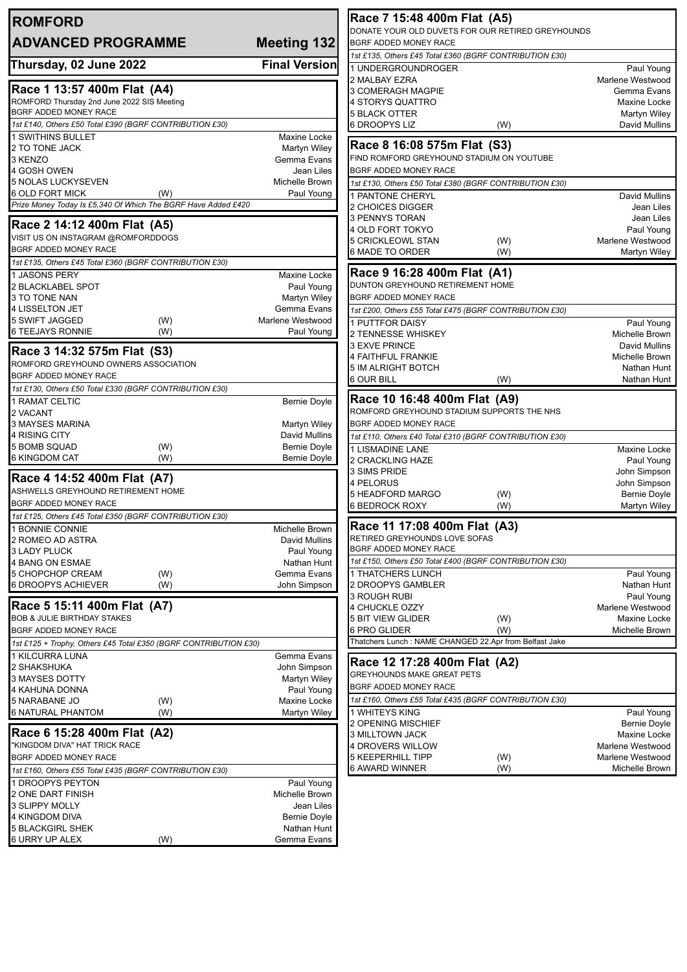| <b>ROMFORD</b>                                                                          |                                   | Race 7 15:48 400m Flat (A5)                                                |                                     |  |
|-----------------------------------------------------------------------------------------|-----------------------------------|----------------------------------------------------------------------------|-------------------------------------|--|
| <b>ADVANCED PROGRAMME</b>                                                               | <b>Meeting 132</b>                | DONATE YOUR OLD DUVETS FOR OUR RETIRED GREYHOUNDS<br>BGRF ADDED MONEY RACE |                                     |  |
|                                                                                         |                                   | 1st £135, Others £45 Total £360 (BGRF CONTRIBUTION £30)                    |                                     |  |
| Thursday, 02 June 2022                                                                  | <b>Final Version</b>              | 1 UNDERGROUNDROGER                                                         | Paul Young                          |  |
|                                                                                         |                                   | 2 MALBAY EZRA                                                              | Marlene Westwood                    |  |
| Race 1 13:57 400m Flat (A4)                                                             |                                   | 3 COMERAGH MAGPIE                                                          | Gemma Evans                         |  |
| ROMFORD Thursday 2nd June 2022 SIS Meeting<br>BGRF ADDED MONEY RACE                     |                                   | 4 STORYS QUATTRO                                                           | Maxine Locke                        |  |
| 1st £140, Others £50 Total £390 (BGRF CONTRIBUTION £30)                                 |                                   | <b>5 BLACK OTTER</b><br>6 DROOPYS LIZ<br>(W)                               | Martyn Wiley<br>David Mullins       |  |
| <b>1 SWITHINS BULLET</b>                                                                | Maxine Locke                      |                                                                            |                                     |  |
| 2 TO TONE JACK                                                                          | Martyn Wiley                      | Race 8 16:08 575m Flat (S3)                                                |                                     |  |
| 3 KENZO                                                                                 | Gemma Evans                       | FIND ROMFORD GREYHOUND STADIUM ON YOUTUBE                                  |                                     |  |
| 4 GOSH OWEN                                                                             | Jean Liles                        | BGRF ADDED MONEY RACE                                                      |                                     |  |
| 5 NOLAS LUCKYSEVEN                                                                      | Michelle Brown                    | 1st £130, Others £50 Total £380 (BGRF CONTRIBUTION £30)                    |                                     |  |
| 6 OLD FORT MICK<br>(W)<br>Prize Money Today Is £5,340 Of Which The BGRF Have Added £420 | Paul Young                        | 1 PANTONE CHERYL                                                           | David Mullins                       |  |
|                                                                                         |                                   | 2 CHOICES DIGGER<br>3 PENNYS TORAN                                         | Jean Liles<br>Jean Liles            |  |
| Race 2 14:12 400m Flat (A5)                                                             |                                   | 4 OLD FORT TOKYO                                                           | Paul Young                          |  |
| VISIT US ON INSTAGRAM @ROMFORDDOGS                                                      |                                   | <b>5 CRICKLEOWL STAN</b><br>(W)                                            | Marlene Westwood                    |  |
| BGRF ADDED MONEY RACE                                                                   |                                   | 6 MADE TO ORDER<br>(W)                                                     | Martyn Wiley                        |  |
| 1st £135, Others £45 Total £360 (BGRF CONTRIBUTION £30)                                 |                                   |                                                                            |                                     |  |
| 1 JASONS PERY                                                                           | Maxine Locke                      | Race 9 16:28 400m Flat (A1)<br>DUNTON GREYHOUND RETIREMENT HOME            |                                     |  |
| 2 BLACKLABEL SPOT<br>3 TO TONE NAN                                                      | Paul Young<br><b>Martyn Wiley</b> | BGRF ADDED MONEY RACE                                                      |                                     |  |
| 4 LISSELTON JET                                                                         | Gemma Evans                       | 1st £200, Others £55 Total £475 (BGRF CONTRIBUTION £30)                    |                                     |  |
| 5 SWIFT JAGGED<br>(W)                                                                   | Marlene Westwood                  | <b>1 PUTTFOR DAISY</b>                                                     | Paul Young                          |  |
| <b>6 TEEJAYS RONNIE</b><br>(W)                                                          | Paul Young                        | 2 TENNESSE WHISKEY                                                         | Michelle Brown                      |  |
|                                                                                         |                                   | <b>3 EXVE PRINCE</b>                                                       | David Mullins                       |  |
| Race 3 14:32 575m Flat (S3)<br>ROMFORD GREYHOUND OWNERS ASSOCIATION                     |                                   | 4 FAITHFUL FRANKIE                                                         | Michelle Brown                      |  |
| BGRF ADDED MONEY RACE                                                                   |                                   | <b>5 IM ALRIGHT BOTCH</b>                                                  | Nathan Hunt                         |  |
| 1st £130, Others £50 Total £330 (BGRF CONTRIBUTION £30)                                 |                                   | <b>6 OUR BILL</b><br>(W)                                                   | Nathan Hunt                         |  |
| 1 RAMAT CELTIC                                                                          | <b>Bernie Doyle</b>               | Race 10 16:48 400m Flat (A9)                                               |                                     |  |
| 2 VACANT                                                                                |                                   | ROMFORD GREYHOUND STADIUM SUPPORTS THE NHS                                 |                                     |  |
| 3 MAYSES MARINA                                                                         | Martyn Wiley                      | BGRF ADDED MONEY RACE                                                      |                                     |  |
| 4 RISING CITY                                                                           | David Mullins                     | 1st £110, Others £40 Total £310 (BGRF CONTRIBUTION £30)                    |                                     |  |
| 5 BOMB SQUAD<br>(W)<br>6 KINGDOM CAT                                                    | Bernie Doyle<br>Bernie Doyle      | 1 LISMADINE LANE                                                           | Maxine Locke                        |  |
| (W)                                                                                     |                                   | 2 CRACKLING HAZE<br>3 SIMS PRIDE                                           | Paul Young                          |  |
| Race 4 14:52 400m Flat (A7)                                                             |                                   | 4 PELORUS                                                                  | John Simpson<br>John Simpson        |  |
| ASHWELLS GREYHOUND RETIREMENT HOME                                                      |                                   | 5 HEADFORD MARGO<br>(W)                                                    | <b>Bernie Doyle</b>                 |  |
| BGRF ADDED MONEY RACE                                                                   |                                   | <b>6 BEDROCK ROXY</b><br>(W)                                               | Martyn Wiley                        |  |
| 1st £125, Others £45 Total £350 (BGRF CONTRIBUTION £30)                                 |                                   |                                                                            |                                     |  |
| 1 BONNIE CONNIE                                                                         | Michelle Brown                    | Race 11 17:08 400m Flat (A3)                                               |                                     |  |
| 2 ROMEO AD ASTRA<br>3 LADY PLUCK                                                        | David Mullins                     | RETIRED GREYHOUNDS LOVE SOFAS<br>BGRF ADDED MONEY RACE                     |                                     |  |
| <b>4 BANG ON ESMAE</b>                                                                  | Paul Young<br>Nathan Hunt         | 1st £150, Others £50 Total £400 (BGRF CONTRIBUTION £30)                    |                                     |  |
| 5 CHOPCHOP CREAM<br>(W)                                                                 | Gemma Evans                       | <b>1 THATCHERS LUNCH</b>                                                   | Paul Young                          |  |
| 6 DROOPYS ACHIEVER<br>(W)                                                               | John Simpson                      | 2 DROOPYS GAMBLER                                                          | Nathan Hunt                         |  |
|                                                                                         |                                   | <b>3 ROUGH RUBI</b>                                                        | Paul Young                          |  |
| Race 5 15:11 400m Flat (A7)                                                             |                                   | 4 CHUCKLE OZZY                                                             | Marlene Westwood                    |  |
| <b>BOB &amp; JULIE BIRTHDAY STAKES</b><br>BGRF ADDED MONEY RACE                         |                                   | <b>5 BIT VIEW GLIDER</b><br>(W)<br>6 PRO GLIDER                            | Maxine Locke<br>Michelle Brown      |  |
| 1st £125 + Trophy, Others £45 Total £350 (BGRF CONTRIBUTION £30)                        |                                   | (W)<br>Thatchers Lunch: NAME CHANGED 22.Apr from Belfast Jake              |                                     |  |
| 1 KILCURRA LUNA                                                                         | Gemma Evans                       |                                                                            |                                     |  |
| 2 SHAKSHUKA                                                                             | John Simpson                      | Race 12 17:28 400m Flat (A2)                                               |                                     |  |
| 3 MAYSES DOTTY                                                                          | <b>Martyn Wiley</b>               | GREYHOUNDS MAKE GREAT PETS                                                 |                                     |  |
| 4 KAHUNA DONNA                                                                          | Paul Young                        | BGRF ADDED MONEY RACE                                                      |                                     |  |
| 5 NARABANE JO<br>(W)                                                                    | Maxine Locke                      | 1st £160, Others £55 Total £435 (BGRF CONTRIBUTION £30)                    |                                     |  |
| <b>6 NATURAL PHANTOM</b><br>(W)                                                         | Martyn Wiley                      | 1 WHITEYS KING                                                             | Paul Young                          |  |
| Race 6 15:28 400m Flat (A2)                                                             |                                   | 2 OPENING MISCHIEF<br>3 MILLTOWN JACK                                      | <b>Bernie Doyle</b><br>Maxine Locke |  |
| "KINGDOM DIVA" HAT TRICK RACE                                                           |                                   | 4 DROVERS WILLOW                                                           | Marlene Westwood                    |  |
| BGRF ADDED MONEY RACE                                                                   |                                   | <b>5 KEEPERHILL TIPP</b><br>(W)                                            | Marlene Westwood                    |  |
| 1st £160, Others £55 Total £435 (BGRF CONTRIBUTION £30)                                 |                                   | <b>6 AWARD WINNER</b><br>(W)                                               | Michelle Brown                      |  |
| 1 DROOPYS PEYTON                                                                        | Paul Young                        |                                                                            |                                     |  |
| 2 ONE DART FINISH                                                                       | Michelle Brown                    |                                                                            |                                     |  |
| 3 SLIPPY MOLLY                                                                          | Jean Liles                        |                                                                            |                                     |  |
| 4 KINGDOM DIVA                                                                          | <b>Bernie Doyle</b>               |                                                                            |                                     |  |
| <b>5 BLACKGIRL SHEK</b><br>6 URRY UP ALEX<br>(W)                                        | Nathan Hunt<br>Gemma Evans        |                                                                            |                                     |  |
|                                                                                         |                                   |                                                                            |                                     |  |